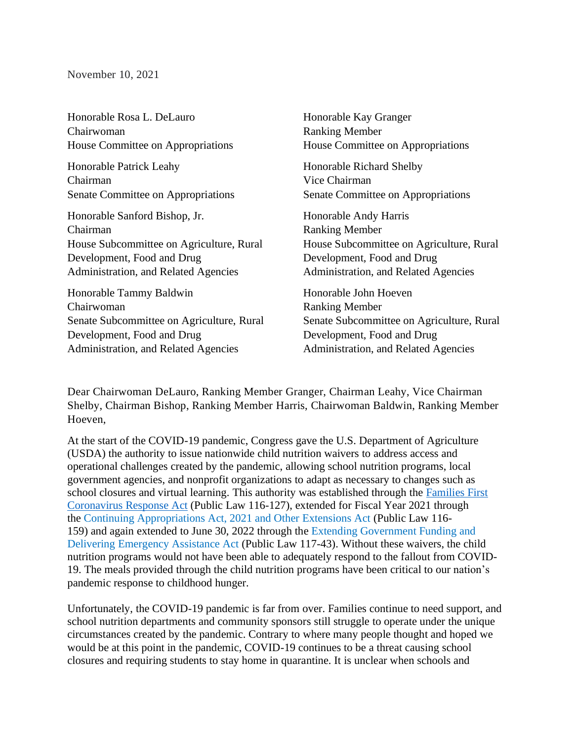## November 10, 2021

| Honorable Rosa L. DeLauro<br>Chairwoman<br>House Committee on Appropriations | Honorable Kay Granger<br><b>Ranking Member</b><br>House Committee on Appropriations |
|------------------------------------------------------------------------------|-------------------------------------------------------------------------------------|
| Honorable Patrick Leahy                                                      | Honorable Richard Shelby                                                            |
| Chairman                                                                     | Vice Chairman                                                                       |
| Senate Committee on Appropriations                                           | Senate Committee on Appropriations                                                  |
| Honorable Sanford Bishop, Jr.                                                | Honorable Andy Harris                                                               |
| Chairman                                                                     | <b>Ranking Member</b>                                                               |
| House Subcommittee on Agriculture, Rural                                     | House Subcommittee on Agriculture, Rural                                            |
| Development, Food and Drug                                                   | Development, Food and Drug                                                          |
| Administration, and Related Agencies                                         | Administration, and Related Agencies                                                |
| Honorable Tammy Baldwin                                                      | Honorable John Hoeven                                                               |
| Chairwoman                                                                   | <b>Ranking Member</b>                                                               |
| Senate Subcommittee on Agriculture, Rural                                    | Senate Subcommittee on Agriculture, Rural                                           |
| Development, Food and Drug                                                   | Development, Food and Drug                                                          |
| Administration, and Related Agencies                                         | Administration, and Related Agencies                                                |

Dear Chairwoman DeLauro, Ranking Member Granger, Chairman Leahy, Vice Chairman Shelby, Chairman Bishop, Ranking Member Harris, Chairwoman Baldwin, Ranking Member Hoeven,

At the start of the COVID-19 pandemic, Congress gave the U.S. Department of Agriculture (USDA) the authority to issue nationwide child nutrition waivers to address access and operational challenges created by the pandemic, allowing school nutrition programs, local government agencies, and nonprofit organizations to adapt as necessary to changes such as school closures and virtual learning. This authority was established through the Families First [Coronavirus Response](https://www.congress.gov/bill/116th-congress/house-bill/6201/text) Act (Public Law 116-127), extended for Fiscal Year 2021 through the [Continuing Appropriations Act, 2021 and Other Extensions Act](https://www.congress.gov/bill/116th-congress/house-bill/8337/text) (Public Law 116- 159) and again extended to June 30, 2022 through the [Extending Government Funding and](https://www.congress.gov/bill/117th-congress/house-bill/5305)  [Delivering Emergency Assistance Act](https://www.congress.gov/bill/117th-congress/house-bill/5305) (Public Law 117-43). Without these waivers, the child nutrition programs would not have been able to adequately respond to the fallout from COVID-19. The meals provided through the child nutrition programs have been critical to our nation's pandemic response to childhood hunger.

Unfortunately, the COVID-19 pandemic is far from over. Families continue to need support, and school nutrition departments and community sponsors still struggle to operate under the unique circumstances created by the pandemic. Contrary to where many people thought and hoped we would be at this point in the pandemic, COVID-19 continues to be a threat causing school closures and requiring students to stay home in quarantine. It is unclear when schools and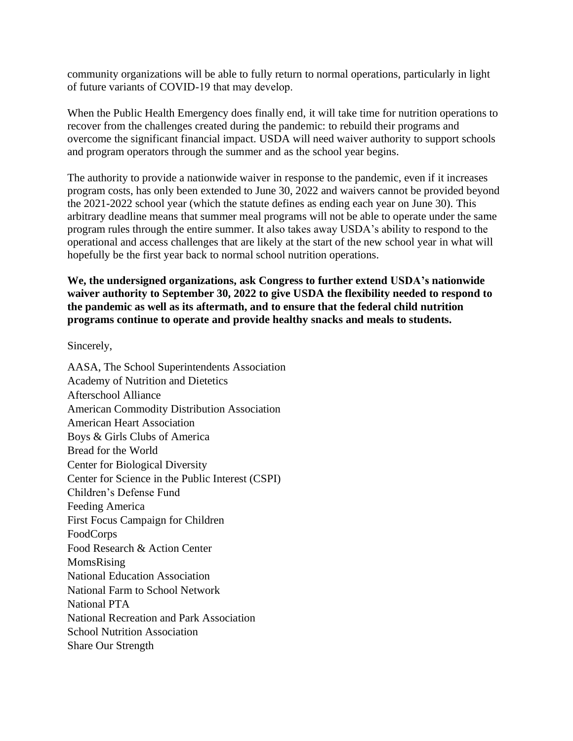community organizations will be able to fully return to normal operations, particularly in light of future variants of COVID-19 that may develop.  

When the Public Health Emergency does finally end, it will take time for nutrition operations to recover from the challenges created during the pandemic: to rebuild their programs and overcome the significant financial impact. USDA will need waiver authority to support schools and program operators through the summer and as the school year begins.

The authority to provide a nationwide waiver in response to the pandemic, even if it increases program costs, has only been extended to June 30, 2022 and waivers cannot be provided beyond the 2021-2022 school year (which the statute defines as ending each year on June 30). This arbitrary deadline means that summer meal programs will not be able to operate under the same program rules through the entire summer. It also takes away USDA's ability to respond to the operational and access challenges that are likely at the start of the new school year in what will hopefully be the first year back to normal school nutrition operations.

**We, the undersigned organizations, ask Congress to further extend USDA's nationwide waiver authority to September 30, 2022 to give USDA the flexibility needed to respond to the pandemic as well as its aftermath, and to ensure that the federal child nutrition programs continue to operate and provide healthy snacks and meals to students.**

Sincerely,

AASA, The School Superintendents Association Academy of Nutrition and Dietetics Afterschool Alliance American Commodity Distribution Association American Heart Association Boys & Girls Clubs of America Bread for the World Center for Biological Diversity Center for Science in the Public Interest (CSPI) Children's Defense Fund Feeding America First Focus Campaign for Children FoodCorps Food Research & Action Center MomsRising National Education Association National Farm to School Network National PTA National Recreation and Park Association School Nutrition Association Share Our Strength